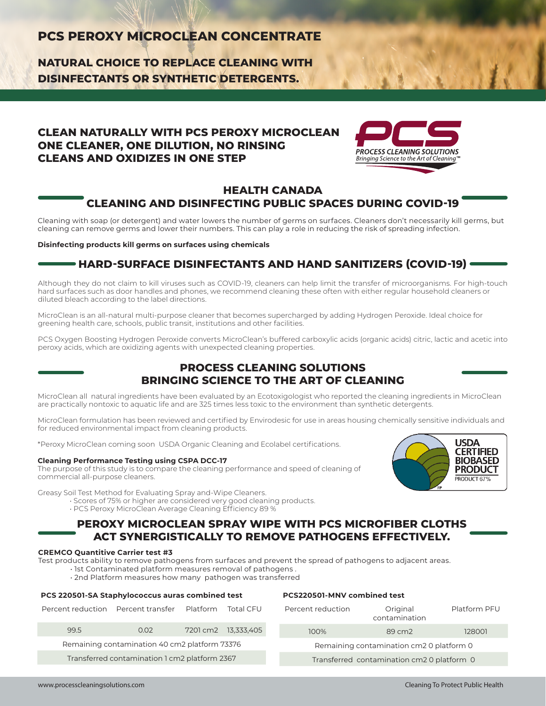# **PCS PEROXY MICROCLEAN CONCENTRATE**

**NATURAL CHOICE TO REPLACE CLEANING WITH DISINFECTANTS OR SYNTHETIC DETERGENTS.**

# **CLEAN NATURALLY WITH PCS PEROXY MICROCLEAN ONE CLEANER, ONE DILUTION, NO RINSING CLEANS AND OXIDIZES IN ONE STEP**



## **HEALTH CANADA CLEANING AND DISINFECTING PUBLIC SPACES DURING COVID-19**

Cleaning with soap (or detergent) and water lowers the number of germs on surfaces. Cleaners don't necessarily kill germs, but cleaning can remove germs and lower their numbers. This can play a role in reducing the risk of spreading infection.

#### **Disinfecting products kill germs on surfaces using chemicals**

# **HARD-SURFACE DISINFECTANTS AND HAND SANITIZERS (COVID-19)**

Although they do not claim to kill viruses such as COVID-19, cleaners can help limit the transfer of microorganisms. For high-touch hard surfaces such as door handles and phones, we recommend cleaning these often with either regular household cleaners or diluted bleach according to the label directions.

MicroClean is an all-natural multi-purpose cleaner that becomes supercharged by adding Hydrogen Peroxide. Ideal choice for greening health care, schools, public transit, institutions and other facilities.

PCS Oxygen Boosting Hydrogen Peroxide converts MicroClean's buffered carboxylic acids (organic acids) citric, lactic and acetic into peroxy acids, which are oxidizing agents with unexpected cleaning properties.

## **PROCESS CLEANING SOLUTIONS BRINGING SCIENCE TO THE ART OF CLEANING**

MicroClean all natural ingredients have been evaluated by an Ecotoxigologist who reported the cleaning ingredients in MicroClean are practically nontoxic to aquatic life and are 325 times less toxic to the environment than synthetic detergents.

MicroClean formulation has been reviewed and certified by Envirodesic for use in areas housing chemically sensitive individuals and for reduced environmental impact from cleaning products.

\*Peroxy MicroClean coming soon USDA Organic Cleaning and Ecolabel certifications.

#### **Cleaning Performance Testing using CSPA DCC-17**

The purpose of this study is to compare the cleaning performance and speed of cleaning of commercial all-purpose cleaners.

Greasy Soil Test Method for Evaluating Spray and-Wipe Cleaners.

- Scores of 75% or higher are considered very good cleaning products.
- PCS Peroxy MicroClean Average Cleaning Efficiency 89 %

## **PEROXY MICROCLEAN SPRAY WIPE WITH PCS MICROFIBER CLOTHS ACT SYNERGISTICALLY TO REMOVE PATHOGENS EFFECTIVELY.**

### **CREMCO Quantitive Carrier test #3**

Test products ability to remove pathogens from surfaces and prevent the spread of pathogens to adjacent areas.

- 1st Contaminated platform measures removal of pathogens .
- 2nd Platform measures how many pathogen was transferred

| Percent reduction Percent transfer Platform Total CFU |      |  |                     |  |  |
|-------------------------------------------------------|------|--|---------------------|--|--|
| 99.5                                                  | 0.02 |  | 7201 cm2 13,333,405 |  |  |
| Remaining contamination 40 cm2 platform 73376         |      |  |                     |  |  |
| Transferred contamination 1 cm2 platform 2367         |      |  |                     |  |  |

**PCS 220501-SA Staphylococcus auras combined test**

#### **PCS220501-MNV combined test**

| Percent reduction                          | Original<br>contamination | Platform PFU |  |  |
|--------------------------------------------|---------------------------|--------------|--|--|
| 100%                                       | $89 \, \text{cm}$         | 128001       |  |  |
| Remaining contamination cm2 0 platform 0   |                           |              |  |  |
| Transferred contamination cm2 0 platform 0 |                           |              |  |  |